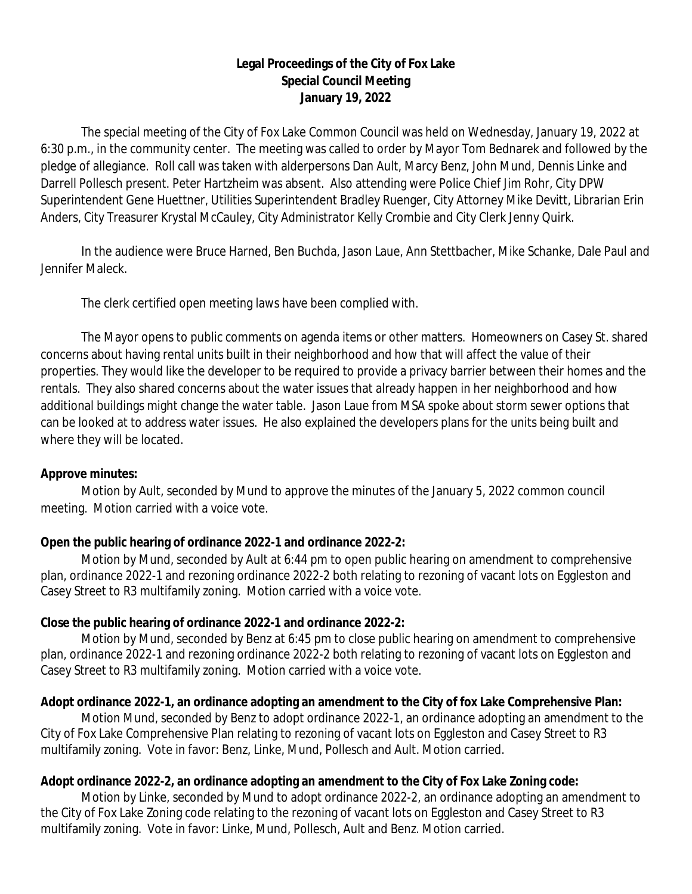## **Legal Proceedings of the City of Fox Lake Special Council Meeting January 19, 2022**

The special meeting of the City of Fox Lake Common Council was held on Wednesday, January 19, 2022 at 6:30 p.m., in the community center. The meeting was called to order by Mayor Tom Bednarek and followed by the pledge of allegiance. Roll call was taken with alderpersons Dan Ault, Marcy Benz, John Mund, Dennis Linke and Darrell Pollesch present. Peter Hartzheim was absent. Also attending were Police Chief Jim Rohr, City DPW Superintendent Gene Huettner, Utilities Superintendent Bradley Ruenger, City Attorney Mike Devitt, Librarian Erin Anders, City Treasurer Krystal McCauley, City Administrator Kelly Crombie and City Clerk Jenny Quirk.

In the audience were Bruce Harned, Ben Buchda, Jason Laue, Ann Stettbacher, Mike Schanke, Dale Paul and Jennifer Maleck.

The clerk certified open meeting laws have been complied with.

The Mayor opens to public comments on agenda items or other matters. Homeowners on Casey St. shared concerns about having rental units built in their neighborhood and how that will affect the value of their properties. They would like the developer to be required to provide a privacy barrier between their homes and the rentals. They also shared concerns about the water issues that already happen in her neighborhood and how additional buildings might change the water table. Jason Laue from MSA spoke about storm sewer options that can be looked at to address water issues. He also explained the developers plans for the units being built and where they will be located.

### **Approve minutes:**

Motion by Ault, seconded by Mund to approve the minutes of the January 5, 2022 common council meeting. Motion carried with a voice vote.

# **Open the public hearing of ordinance 2022-1 and ordinance 2022-2:**

Motion by Mund, seconded by Ault at 6:44 pm to open public hearing on amendment to comprehensive plan, ordinance 2022-1 and rezoning ordinance 2022-2 both relating to rezoning of vacant lots on Eggleston and Casey Street to R3 multifamily zoning. Motion carried with a voice vote.

# **Close the public hearing of ordinance 2022-1 and ordinance 2022-2:**

Motion by Mund, seconded by Benz at 6:45 pm to close public hearing on amendment to comprehensive plan, ordinance 2022-1 and rezoning ordinance 2022-2 both relating to rezoning of vacant lots on Eggleston and Casey Street to R3 multifamily zoning. Motion carried with a voice vote.

# **Adopt ordinance 2022-1, an ordinance adopting an amendment to the City of fox Lake Comprehensive Plan:**

Motion Mund, seconded by Benz to adopt ordinance 2022-1, an ordinance adopting an amendment to the City of Fox Lake Comprehensive Plan relating to rezoning of vacant lots on Eggleston and Casey Street to R3 multifamily zoning. Vote in favor: Benz, Linke, Mund, Pollesch and Ault. Motion carried.

# **Adopt ordinance 2022-2, an ordinance adopting an amendment to the City of Fox Lake Zoning code:**

Motion by Linke, seconded by Mund to adopt ordinance 2022-2, an ordinance adopting an amendment to the City of Fox Lake Zoning code relating to the rezoning of vacant lots on Eggleston and Casey Street to R3 multifamily zoning. Vote in favor: Linke, Mund, Pollesch, Ault and Benz. Motion carried.